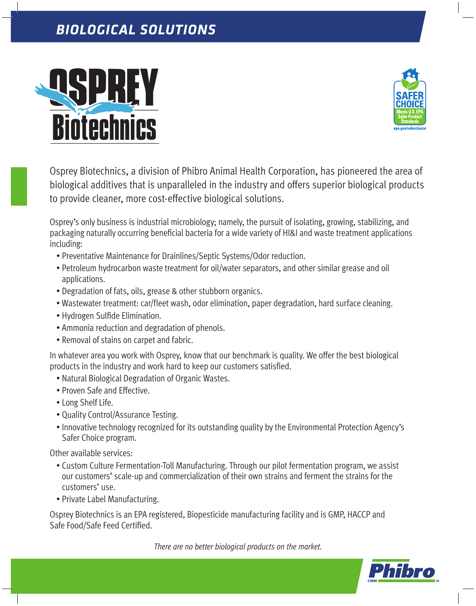## *BIOLOGICAL SOLUTIONS*





Osprey Biotechnics, a division of Phibro Animal Health Corporation, has pioneered the area of biological additives that is unparalleled in the industry and offers superior biological products to provide cleaner, more cost-effective biological solutions.

Osprey's only business is industrial microbiology; namely, the pursuit of isolating, growing, stabilizing, and packaging naturally occurring beneficial bacteria for a wide variety of HI&I and waste treatment applications including:

- Preventative Maintenance for Drainlines/Septic Systems/Odor reduction.
- Petroleum hydrocarbon waste treatment for oil/water separators, and other similar grease and oil applications.
- Degradation of fats, oils, grease & other stubborn organics.
- Wastewater treatment: car/fleet wash, odor elimination, paper degradation, hard surface cleaning.
- Hydrogen Sulfide Elimination.
- Ammonia reduction and degradation of phenols.
- Removal of stains on carpet and fabric.

In whatever area you work with Osprey, know that our benchmark is quality. We offer the best biological products in the industry and work hard to keep our customers satisfied.

- Natural Biological Degradation of Organic Wastes.
- Proven Safe and Effective.
- Long Shelf Life.
- Quality Control/Assurance Testing.
- Innovative technology recognized for its outstanding quality by the Environmental Protection Agency's Safer Choice program.

Other available services:

- Custom Culture Fermentation-Toll Manufacturing. Through our pilot fermentation program, we assist our customers' scale-up and commercialization of their own strains and ferment the strains for the customers' use.
- Private Label Manufacturing.

Osprey Biotechnics is an EPA registered, Biopesticide manufacturing facility and is GMP, HACCP and Safe Food/Safe Feed Certified.

*There are no better biological products on the market.*